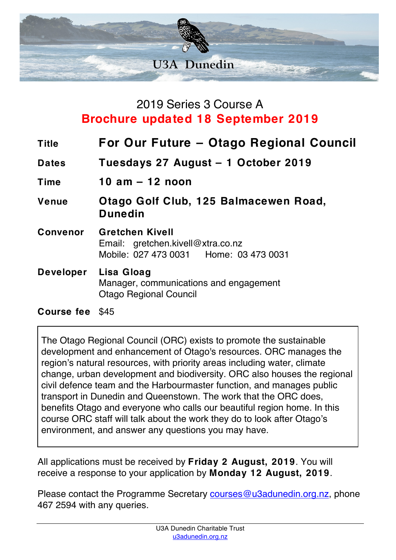

## 2019 Series 3 Course A **Brochure updated 18 September 2019**

| <b>Title</b>     | For Our Future – Otago Regional Council                                                                 |
|------------------|---------------------------------------------------------------------------------------------------------|
| <b>Dates</b>     | Tuesdays 27 August - 1 October 2019                                                                     |
| Time             | 10 $am - 12$ noon                                                                                       |
| Venue            | Otago Golf Club, 125 Balmacewen Road,<br><b>Dunedin</b>                                                 |
| Convenor         | <b>Gretchen Kivell</b><br>Email: gretchen.kivell@xtra.co.nz<br>Mobile: 027 473 0031   Home: 03 473 0031 |
| <b>Developer</b> | Lisa Gloag<br>Manager, communications and engagement<br><b>Otago Regional Council</b>                   |

## **Course fee** \$45

The Otago Regional Council (ORC) exists to promote the sustainable development and enhancement of Otago's resources. ORC manages the region's natural resources, with priority areas including water, climate change, urban development and biodiversity. ORC also houses the regional civil defence team and the Harbourmaster function, and manages public transport in Dunedin and Queenstown. The work that the ORC does, benefits Otago and everyone who calls our beautiful region home. In this course ORC staff will talk about the work they do to look after Otago's environment, and answer any questions you may have.

All applications must be received by **Friday 2 August, 2019**. You will receive a response to your application by **Monday 12 August, 2019**.

Please contact the Programme Secretary courses@u3adunedin.org.nz, phone 467 2594 with any queries.